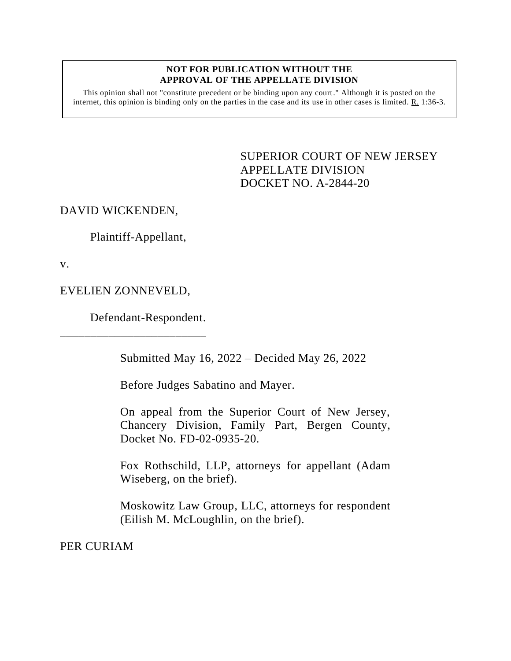## **NOT FOR PUBLICATION WITHOUT THE APPROVAL OF THE APPELLATE DIVISION**

This opinion shall not "constitute precedent or be binding upon any court." Although it is posted on the internet, this opinion is binding only on the parties in the case and its use in other cases is limited. R. 1:36-3.

> SUPERIOR COURT OF NEW JERSEY APPELLATE DIVISION DOCKET NO. A-2844-20

DAVID WICKENDEN,

Plaintiff-Appellant,

v.

EVELIEN ZONNEVELD,

\_\_\_\_\_\_\_\_\_\_\_\_\_\_\_\_\_\_\_\_\_\_\_\_

Defendant-Respondent.

Submitted May 16, 2022 – Decided May 26, 2022

Before Judges Sabatino and Mayer.

On appeal from the Superior Court of New Jersey, Chancery Division, Family Part, Bergen County, Docket No. FD-02-0935-20.

Fox Rothschild, LLP, attorneys for appellant (Adam Wiseberg, on the brief).

Moskowitz Law Group, LLC, attorneys for respondent (Eilish M. McLoughlin, on the brief).

PER CURIAM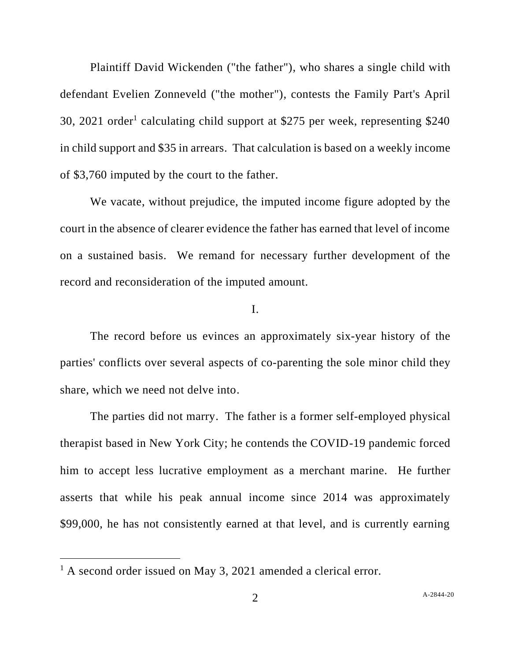Plaintiff David Wickenden ("the father"), who shares a single child with defendant Evelien Zonneveld ("the mother"), contests the Family Part's April 30, 2021 order<sup>1</sup> calculating child support at \$275 per week, representing \$240 in child support and \$35 in arrears. That calculation is based on a weekly income of \$3,760 imputed by the court to the father.

We vacate, without prejudice, the imputed income figure adopted by the court in the absence of clearer evidence the father has earned that level of income on a sustained basis. We remand for necessary further development of the record and reconsideration of the imputed amount.

## I.

The record before us evinces an approximately six-year history of the parties' conflicts over several aspects of co-parenting the sole minor child they share, which we need not delve into.

The parties did not marry. The father is a former self-employed physical therapist based in New York City; he contends the COVID-19 pandemic forced him to accept less lucrative employment as a merchant marine. He further asserts that while his peak annual income since 2014 was approximately \$99,000, he has not consistently earned at that level, and is currently earning

<sup>&</sup>lt;sup>1</sup> A second order issued on May 3, 2021 amended a clerical error.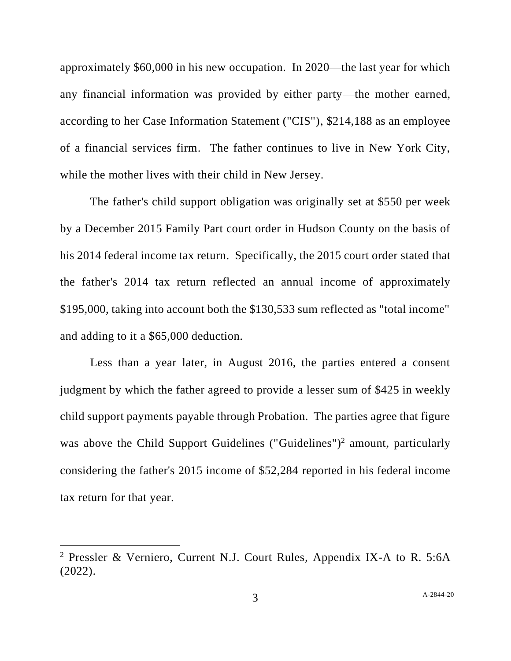approximately \$60,000 in his new occupation. In 2020—the last year for which any financial information was provided by either party—the mother earned, according to her Case Information Statement ("CIS"), \$214,188 as an employee of a financial services firm. The father continues to live in New York City, while the mother lives with their child in New Jersey.

The father's child support obligation was originally set at \$550 per week by a December 2015 Family Part court order in Hudson County on the basis of his 2014 federal income tax return. Specifically, the 2015 court order stated that the father's 2014 tax return reflected an annual income of approximately \$195,000, taking into account both the \$130,533 sum reflected as "total income" and adding to it a \$65,000 deduction.

Less than a year later, in August 2016, the parties entered a consent judgment by which the father agreed to provide a lesser sum of \$425 in weekly child support payments payable through Probation. The parties agree that figure was above the Child Support Guidelines ("Guidelines")<sup>2</sup> amount, particularly considering the father's 2015 income of \$52,284 reported in his federal income tax return for that year.

<sup>2</sup> Pressler & Verniero, Current N.J. Court Rules, Appendix IX-A to R. 5:6A (2022).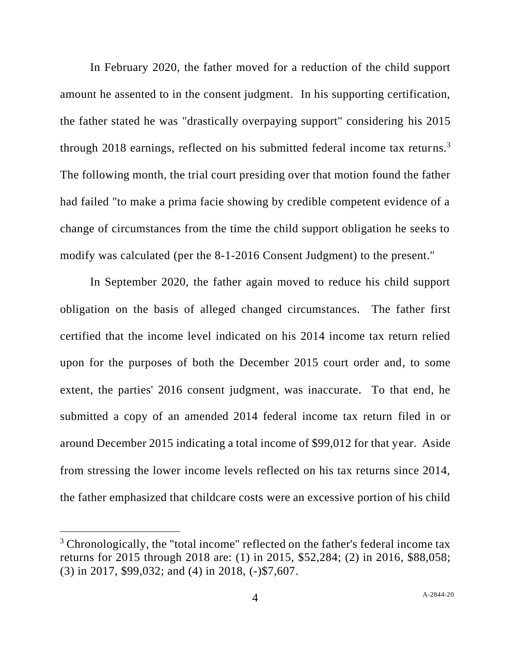In February 2020, the father moved for a reduction of the child support amount he assented to in the consent judgment. In his supporting certification, the father stated he was "drastically overpaying support" considering his 2015 through 2018 earnings, reflected on his submitted federal income tax returns.<sup>3</sup> The following month, the trial court presiding over that motion found the father had failed "to make a prima facie showing by credible competent evidence of a change of circumstances from the time the child support obligation he seeks to modify was calculated (per the 8-1-2016 Consent Judgment) to the present."

In September 2020, the father again moved to reduce his child support obligation on the basis of alleged changed circumstances. The father first certified that the income level indicated on his 2014 income tax return relied upon for the purposes of both the December 2015 court order and, to some extent, the parties' 2016 consent judgment, was inaccurate. To that end, he submitted a copy of an amended 2014 federal income tax return filed in or around December 2015 indicating a total income of \$99,012 for that year. Aside from stressing the lower income levels reflected on his tax returns since 2014, the father emphasized that childcare costs were an excessive portion of his child

<sup>&</sup>lt;sup>3</sup> Chronologically, the "total income" reflected on the father's federal income tax returns for 2015 through 2018 are: (1) in 2015, \$52,284; (2) in 2016, \$88,058; (3) in 2017, \$99,032; and (4) in 2018, (-)\$7,607.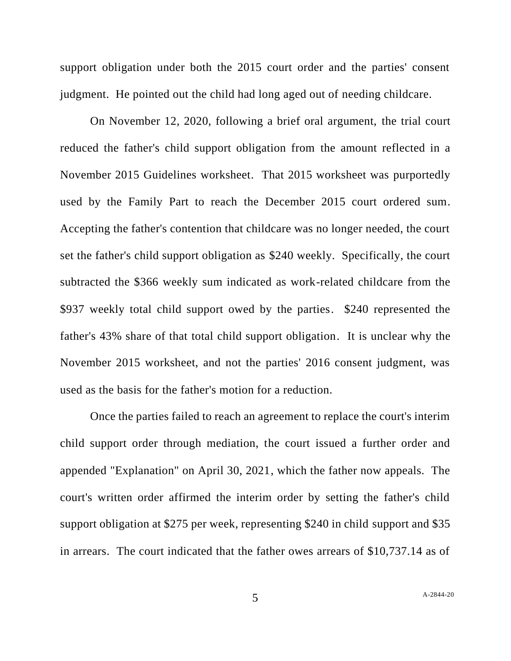support obligation under both the 2015 court order and the parties' consent judgment. He pointed out the child had long aged out of needing childcare.

On November 12, 2020, following a brief oral argument, the trial court reduced the father's child support obligation from the amount reflected in a November 2015 Guidelines worksheet. That 2015 worksheet was purportedly used by the Family Part to reach the December 2015 court ordered sum. Accepting the father's contention that childcare was no longer needed, the court set the father's child support obligation as \$240 weekly. Specifically, the court subtracted the \$366 weekly sum indicated as work-related childcare from the \$937 weekly total child support owed by the parties. \$240 represented the father's 43% share of that total child support obligation. It is unclear why the November 2015 worksheet, and not the parties' 2016 consent judgment, was used as the basis for the father's motion for a reduction.

Once the parties failed to reach an agreement to replace the court's interim child support order through mediation, the court issued a further order and appended "Explanation" on April 30, 2021, which the father now appeals. The court's written order affirmed the interim order by setting the father's child support obligation at \$275 per week, representing \$240 in child support and \$35 in arrears. The court indicated that the father owes arrears of \$10,737.14 as of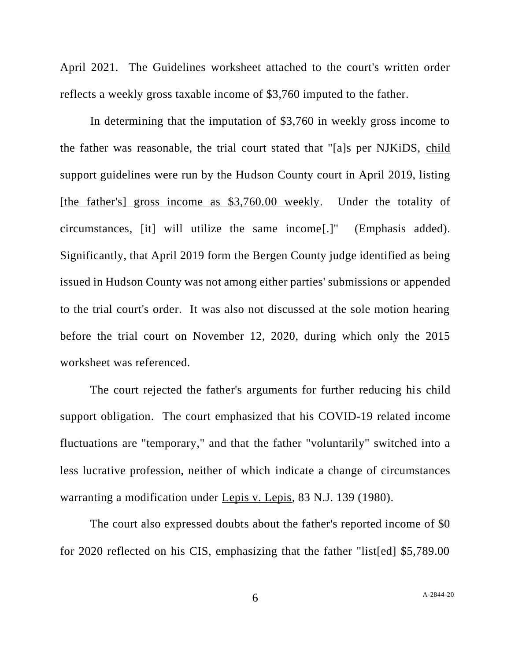April 2021. The Guidelines worksheet attached to the court's written order reflects a weekly gross taxable income of \$3,760 imputed to the father.

In determining that the imputation of \$3,760 in weekly gross income to the father was reasonable, the trial court stated that "[a]s per NJKiDS, child support guidelines were run by the Hudson County court in April 2019, listing [the father's] gross income as \$3,760.00 weekly. Under the totality of circumstances, [it] will utilize the same income[.]" (Emphasis added). Significantly, that April 2019 form the Bergen County judge identified as being issued in Hudson County was not among either parties' submissions or appended to the trial court's order. It was also not discussed at the sole motion hearing before the trial court on November 12, 2020, during which only the 2015 worksheet was referenced.

The court rejected the father's arguments for further reducing his child support obligation. The court emphasized that his COVID-19 related income fluctuations are "temporary," and that the father "voluntarily" switched into a less lucrative profession, neither of which indicate a change of circumstances warranting a modification under Lepis v. Lepis, 83 N.J. 139 (1980).

The court also expressed doubts about the father's reported income of \$0 for 2020 reflected on his CIS, emphasizing that the father "list[ed] \$5,789.00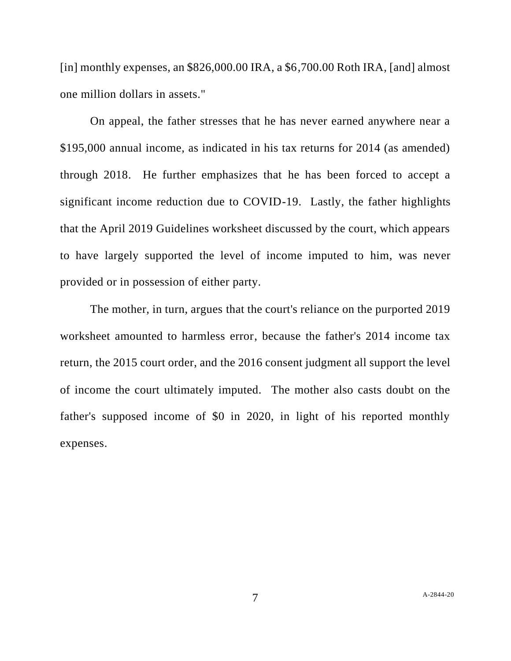[in] monthly expenses, an  $$826,000.00$  IRA, a  $$6,700.00$  Roth IRA, [and] almost one million dollars in assets."

On appeal, the father stresses that he has never earned anywhere near a \$195,000 annual income, as indicated in his tax returns for 2014 (as amended) through 2018. He further emphasizes that he has been forced to accept a significant income reduction due to COVID-19. Lastly, the father highlights that the April 2019 Guidelines worksheet discussed by the court, which appears to have largely supported the level of income imputed to him, was never provided or in possession of either party.

The mother, in turn, argues that the court's reliance on the purported 2019 worksheet amounted to harmless error, because the father's 2014 income tax return, the 2015 court order, and the 2016 consent judgment all support the level of income the court ultimately imputed. The mother also casts doubt on the father's supposed income of \$0 in 2020, in light of his reported monthly expenses.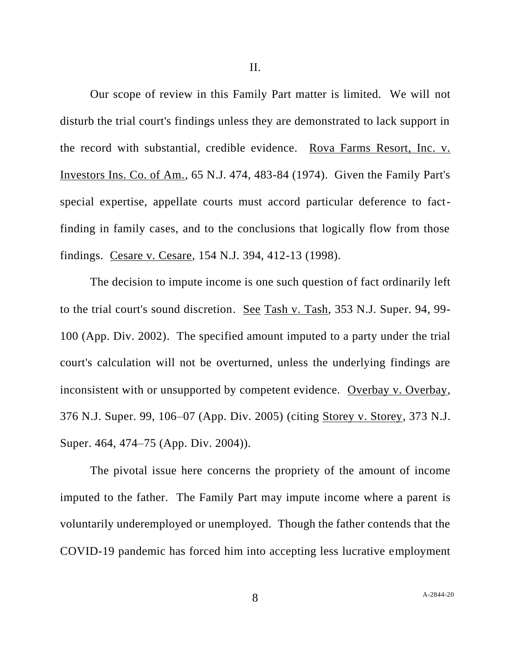Our scope of review in this Family Part matter is limited. We will not disturb the trial court's findings unless they are demonstrated to lack support in the record with substantial, credible evidence. Rova Farms Resort, Inc. v. Investors Ins. Co. of Am., 65 N.J. 474, 483-84 (1974). Given the Family Part's special expertise, appellate courts must accord particular deference to factfinding in family cases, and to the conclusions that logically flow from those findings. Cesare v. Cesare, 154 N.J. 394, 412-13 (1998).

The decision to impute income is one such question of fact ordinarily left to the trial court's sound discretion. See Tash v. Tash, 353 N.J. Super. 94, 99- 100 (App. Div. 2002). The specified amount imputed to a party under the trial court's calculation will not be overturned, unless the underlying findings are inconsistent with or unsupported by competent evidence. Overbay v. Overbay, 376 N.J. Super. 99, 106–07 (App. Div. 2005) (citing Storey v. Storey*,* 373 N.J. Super. 464, 474–75 (App. Div. 2004)).

The pivotal issue here concerns the propriety of the amount of income imputed to the father. The Family Part may impute income where a parent is voluntarily underemployed or unemployed. Though the father contends that the COVID-19 pandemic has forced him into accepting less lucrative employment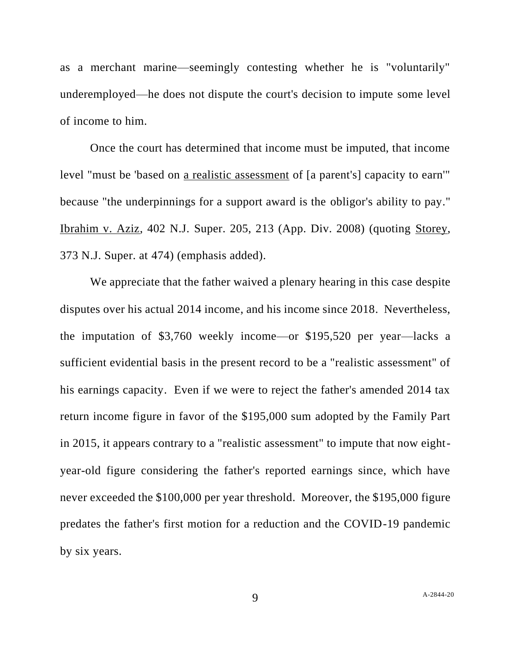as a merchant marine—seemingly contesting whether he is "voluntarily" underemployed—he does not dispute the court's decision to impute some level of income to him.

Once the court has determined that income must be imputed, that income level "must be 'based on a realistic assessment of [a parent's] capacity to earn'" because "the underpinnings for a support award is the obligor's ability to pay." Ibrahim v. Aziz, 402 N.J. Super. 205, 213 (App. Div. 2008) (quoting Storey, 373 N.J. Super. at 474) (emphasis added).

We appreciate that the father waived a plenary hearing in this case despite disputes over his actual 2014 income, and his income since 2018. Nevertheless, the imputation of \$3,760 weekly income—or \$195,520 per year—lacks a sufficient evidential basis in the present record to be a "realistic assessment" of his earnings capacity. Even if we were to reject the father's amended 2014 tax return income figure in favor of the \$195,000 sum adopted by the Family Part in 2015, it appears contrary to a "realistic assessment" to impute that now eightyear-old figure considering the father's reported earnings since, which have never exceeded the \$100,000 per year threshold. Moreover, the \$195,000 figure predates the father's first motion for a reduction and the COVID-19 pandemic by six years.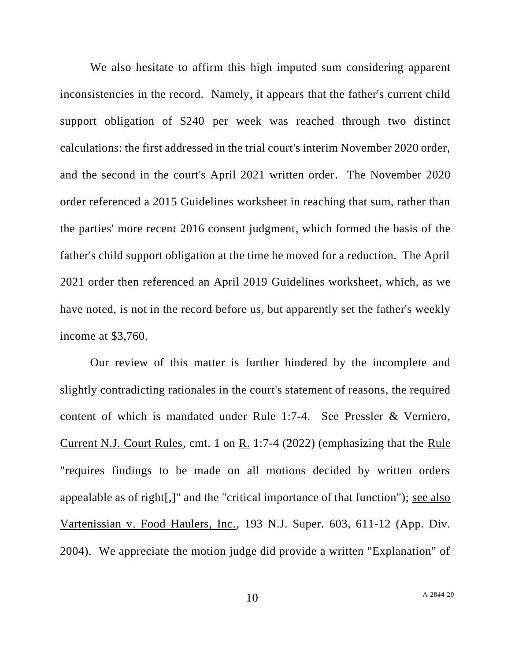We also hesitate to affirm this high imputed sum considering apparent inconsistencies in the record. Namely, it appears that the father's current child support obligation of \$240 per week was reached through two distinct calculations: the first addressed in the trial court's interim November 2020 order, and the second in the court's April 2021 written order. The November 2020 order referenced a 2015 Guidelines worksheet in reaching that sum, rather than the parties' more recent 2016 consent judgment, which formed the basis of the father's child support obligation at the time he moved for a reduction. The April 2021 order then referenced an April 2019 Guidelines worksheet, which, as we have noted, is not in the record before us, but apparently set the father's weekly income at \$3,760.

Our review of this matter is further hindered by the incomplete and slightly contradicting rationales in the court's statement of reasons, the required content of which is mandated under Rule 1:7-4. See Pressler & Verniero, Current N.J. Court Rules, cmt. 1 on R. 1:7-4 (2022) (emphasizing that the Rule "requires findings to be made on all motions decided by written orders appealable as of right[,]" and the "critical importance of that function"); see also Vartenissian v. Food Haulers, Inc., 193 N.J. Super. 603, 611-12 (App. Div. 2004). We appreciate the motion judge did provide a written "Explanation" of